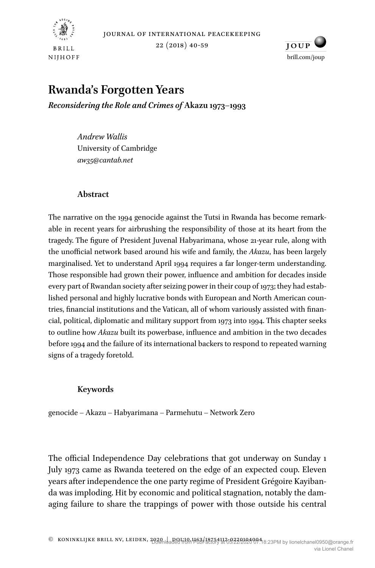journal of international peacekeeping



22 (2018) 40-59



## **Rwanda's Forgotten Years**

*Reconsidering the Role and Crimes of* **Akazu 1973–1993**

*Andrew Wallis* University of Cambridge *aw35@cantab.net* 

## **Abstract**

The narrative on the 1994 genocide against the Tutsi in Rwanda has become remarkable in recent years for airbrushing the responsibility of those at its heart from the tragedy. The figure of President Juvenal Habyarimana, whose 21-year rule, along with the unofficial network based around his wife and family, the *Akazu*, has been largely marginalised. Yet to understand April 1994 requires a far longer-term understanding. Those responsible had grown their power, influence and ambition for decades inside every part of Rwandan society after seizing power in their coup of 1973; they had established personal and highly lucrative bonds with European and North American countries, financial institutions and the Vatican, all of whom variously assisted with financial, political, diplomatic and military support from 1973 into 1994. This chapter seeks to outline how *Akazu* built its powerbase, influence and ambition in the two decades before 1994 and the failure of its international backers to respond to repeated warning signs of a tragedy foretold.

## **Keywords**

genocide – Akazu – Habyarimana – Parmehutu – Network Zero

The official Independence Day celebrations that got underway on Sunday 1 July 1973 came as Rwanda teetered on the edge of an expected coup. Eleven years after independence the one party regime of President Grégoire Kayibanda was imploding. Hit by economic and political stagnation, notably the damaging failure to share the trappings of power with those outside his central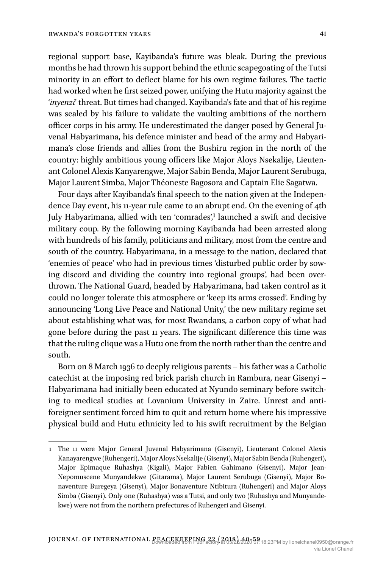regional support base, Kayibanda's future was bleak. During the previous months he had thrown his support behind the ethnic scapegoating of the Tutsi minority in an effort to deflect blame for his own regime failures. The tactic had worked when he first seized power, unifying the Hutu majority against the '*inyenzi*' threat. But times had changed. Kayibanda's fate and that of his regime was sealed by his failure to validate the vaulting ambitions of the northern officer corps in his army. He underestimated the danger posed by General Juvenal Habyarimana, his defence minister and head of the army and Habyarimana's close friends and allies from the Bushiru region in the north of the country: highly ambitious young officers like Major Aloys Nsekalije, Lieutenant Colonel Alexis Kanyarengwe, Major Sabin Benda, Major Laurent Serubuga, Major Laurent Simba, Major Théoneste Bagosora and Captain Elie Sagatwa.

Four days after Kayibanda's final speech to the nation given at the Independence Day event, his 11-year rule came to an abrupt end. On the evening of 4th July Habyarimana, allied with ten 'comrades',<sup>[1](#page-1-0)</sup> launched a swift and decisive military coup. By the following morning Kayibanda had been arrested along with hundreds of his family, politicians and military, most from the centre and south of the country. Habyarimana, in a message to the nation, declared that 'enemies of peace' who had in previous times 'disturbed public order by sowing discord and dividing the country into regional groups', had been overthrown. The National Guard, headed by Habyarimana, had taken control as it could no longer tolerate this atmosphere or 'keep its arms crossed'. Ending by announcing 'Long Live Peace and National Unity,' the new military regime set about establishing what was, for most Rwandans, a carbon copy of what had gone before during the past 11 years. The significant difference this time was that the ruling clique was a Hutu one from the north rather than the centre and south.

Born on 8 March 1936 to deeply religious parents – his father was a Catholic catechist at the imposing red brick parish church in Rambura, near Gisenyi – Habyarimana had initially been educated at Nyundo seminary before switching to medical studies at Lovanium University in Zaire. Unrest and antiforeigner sentiment forced him to quit and return home where his impressive physical build and Hutu ethnicity led to his swift recruitment by the Belgian

<span id="page-1-0"></span><sup>1</sup> The 11 were Major General Juvenal Habyarimana (Gisenyi), Lieutenant Colonel Alexis Kanayarengwe (Ruhengeri), Major Aloys Nsekalije (Gisenyi), Major Sabin Benda (Ruhengeri), Major Epimaque Ruhashya (Kigali), Major Fabien Gahimano (Gisenyi), Major Jean-Nepomuscene Munyandekwe (Gitarama), Major Laurent Serubuga (Gisenyi), Major Bonaventure Buregeya (Gisenyi), Major Bonaventure Ntibitura (Ruhengeri) and Major Aloys Simba (Gisenyi). Only one (Ruhashya) was a Tutsi, and only two (Ruhashya and Munyandekwe) were not from the northern prefectures of Ruhengeri and Gisenyi.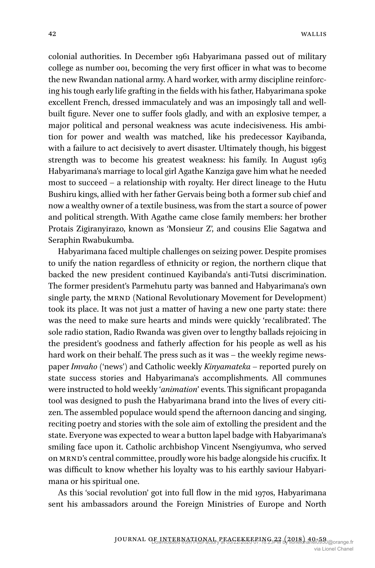colonial authorities. In December 1961 Habyarimana passed out of military college as number 001, becoming the very first officer in what was to become the new Rwandan national army. A hard worker, with army discipline reinforcing his tough early life grafting in the fields with his father, Habyarimana spoke excellent French, dressed immaculately and was an imposingly tall and wellbuilt figure. Never one to suffer fools gladly, and with an explosive temper, a major political and personal weakness was acute indecisiveness. His ambition for power and wealth was matched, like his predecessor Kayibanda, with a failure to act decisively to avert disaster. Ultimately though, his biggest strength was to become his greatest weakness: his family. In August 1963 Habyarimana's marriage to local girl Agathe Kanziga gave him what he needed most to succeed – a relationship with royalty. Her direct lineage to the Hutu Bushiru kings, allied with her father Gervais being both a former sub chief and now a wealthy owner of a textile business, was from the start a source of power and political strength. With Agathe came close family members: her brother Protais Zigiranyirazo, known as 'Monsieur Z', and cousins Elie Sagatwa and Seraphin Rwabukumba.

Habyarimana faced multiple challenges on seizing power. Despite promises to unify the nation regardless of ethnicity or region, the northern clique that backed the new president continued Kayibanda's anti-Tutsi discrimination. The former president's Parmehutu party was banned and Habyarimana's own single party, the MRND (National Revolutionary Movement for Development) took its place. It was not just a matter of having a new one party state: there was the need to make sure hearts and minds were quickly 'recalibrated'. The sole radio station, Radio Rwanda was given over to lengthy ballads rejoicing in the president's goodness and fatherly affection for his people as well as his hard work on their behalf. The press such as it was – the weekly regime newspaper *Imvaho* ('news') and Catholic weekly *Kinyamateka* – reported purely on state success stories and Habyarimana's accomplishments. All communes were instructed to hold weekly '*animation*' events. This significant propaganda tool was designed to push the Habyarimana brand into the lives of every citizen. The assembled populace would spend the afternoon dancing and singing, reciting poetry and stories with the sole aim of extolling the president and the state. Everyone was expected to wear a button lapel badge with Habyarimana's smiling face upon it. Catholic archbishop Vincent Nsengiyumva, who served on mrnd's central committee, proudly wore his badge alongside his crucifix. It was difficult to know whether his loyalty was to his earthly saviour Habyarimana or his spiritual one.

As this 'social revolution' got into full flow in the mid 1970s, Habyarimana sent his ambassadors around the Foreign Ministries of Europe and North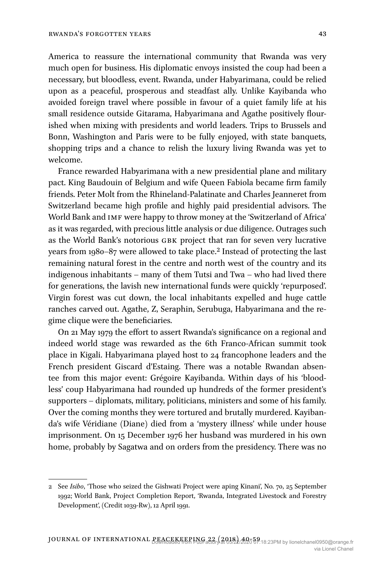America to reassure the international community that Rwanda was very much open for business. His diplomatic envoys insisted the coup had been a necessary, but bloodless, event. Rwanda, under Habyarimana, could be relied upon as a peaceful, prosperous and steadfast ally. Unlike Kayibanda who avoided foreign travel where possible in favour of a quiet family life at his small residence outside Gitarama, Habyarimana and Agathe positively flourished when mixing with presidents and world leaders. Trips to Brussels and Bonn, Washington and Paris were to be fully enjoyed, with state banquets, shopping trips and a chance to relish the luxury living Rwanda was yet to welcome.

France rewarded Habyarimana with a new presidential plane and military pact. King Baudouin of Belgium and wife Queen Fabiola became firm family friends. Peter Molt from the Rhineland-Palatinate and Charles Jeanneret from Switzerland became high profile and highly paid presidential advisors. The World Bank and IMF were happy to throw money at the 'Switzerland of Africa' as it was regarded, with precious little analysis or due diligence. Outrages such as the World Bank's notorious gbk project that ran for seven very lucrative years from 1980–87 were allowed to take place[.2](#page-3-0) Instead of protecting the last remaining natural forest in the centre and north west of the country and its indigenous inhabitants – many of them Tutsi and Twa – who had lived there for generations, the lavish new international funds were quickly 'repurposed'. Virgin forest was cut down, the local inhabitants expelled and huge cattle ranches carved out. Agathe, Z, Seraphin, Serubuga, Habyarimana and the regime clique were the beneficiaries.

On 21 May 1979 the effort to assert Rwanda's significance on a regional and indeed world stage was rewarded as the 6th Franco-African summit took place in Kigali. Habyarimana played host to 24 francophone leaders and the French president Giscard d'Estaing. There was a notable Rwandan absentee from this major event: Grégoire Kayibanda. Within days of his 'bloodless' coup Habyarimana had rounded up hundreds of the former president's supporters – diplomats, military, politicians, ministers and some of his family. Over the coming months they were tortured and brutally murdered. Kayibanda's wife Véridiane (Diane) died from a 'mystery illness' while under house imprisonment. On 15 December 1976 her husband was murdered in his own home, probably by Sagatwa and on orders from the presidency. There was no

<span id="page-3-0"></span><sup>2</sup> See *Isibo*, 'Those who seized the Gishwati Project were aping Kinani', No. 70, 25 September 1992; World Bank, Project Completion Report, 'Rwanda, Integrated Livestock and Forestry Development', (Credit 1039-Rw), 12 April 1991.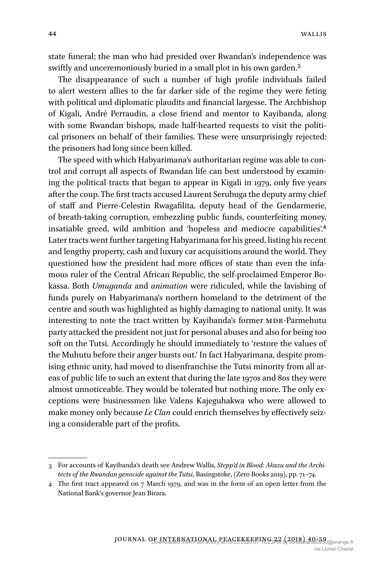state funeral; the man who had presided over Rwandan's independence was swiftly and unceremoniously buried in a small plot in his own garden.<sup>[3](#page-4-0)</sup>

The disappearance of such a number of high profile individuals failed to alert western allies to the far darker side of the regime they were feting with political and diplomatic plaudits and financial largesse. The Archbishop of Kigali, André Perraudin, a close friend and mentor to Kayibanda, along with some Rwandan bishops, made half-hearted requests to visit the political prisoners on behalf of their families. These were unsurprisingly rejected: the prisoners had long since been killed.

The speed with which Habyarimana's authoritarian regime was able to control and corrupt all aspects of Rwandan life can best understood by examining the political tracts that began to appear in Kigali in 1979, only five years after the coup. The first tracts accused Laurent Serubuga the deputy army chief of staff and Pierre-Celestin Rwagafilita, deputy head of the Gendarmerie, of breath-taking corruption, embezzling public funds, counterfeiting money, insatiable greed, wild ambition and 'hopeless and mediocre capabilities'.[4](#page-4-1) Later tracts went further targeting Habyarimana for his greed, listing his recent and lengthy property, cash and luxury car acquisitions around the world. They questioned how the president had more offices of state than even the infamous ruler of the Central African Republic, the self-proclaimed Emperor Bokassa. Both *Umuganda* and *animation* were ridiculed, while the lavishing of funds purely on Habyarimana's northern homeland to the detriment of the centre and south was highlighted as highly damaging to national unity. It was interesting to note the tract written by Kayibanda's former MDR-Parmehutu party attacked the president not just for personal abuses and also for being too soft on the Tutsi. Accordingly he should immediately to 'restore the values of the Muhutu before their anger bursts out.' In fact Habyarimana, despite promising ethnic unity, had moved to disenfranchise the Tutsi minority from all areas of public life to such an extent that during the late 1970s and 80s they were almost unnoticeable. They would be tolerated but nothing more. The only exceptions were businessmen like Valens Kajeguhakwa who were allowed to make money only because *Le Clan* could enrich themselves by effectively seizing a considerable part of the profits.

<span id="page-4-0"></span><sup>3</sup> For accounts of Kayibanda's death see Andrew Wallis, *Stepp'd in Blood: Akazu and the Architects of the Rwandan genocide against the Tutsi*, Basingstoke, (Zero Books 2019), pp. 71–74.

<span id="page-4-1"></span><sup>4</sup> The first tract appeared on 7 March 1979, and was in the form of an open letter from the National Bank's governor Jean Birara.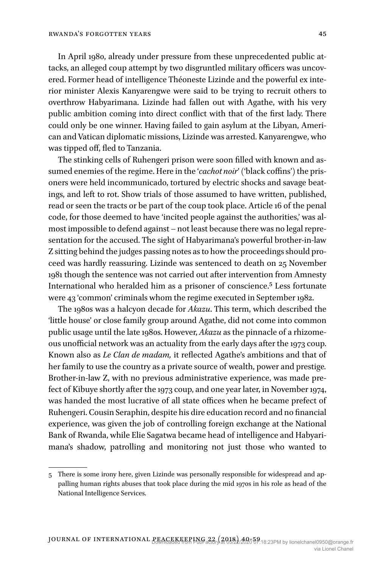In April 1980, already under pressure from these unprecedented public attacks, an alleged coup attempt by two disgruntled military officers was uncovered. Former head of intelligence Théoneste Lizinde and the powerful ex interior minister Alexis Kanyarengwe were said to be trying to recruit others to overthrow Habyarimana. Lizinde had fallen out with Agathe, with his very public ambition coming into direct conflict with that of the first lady. There could only be one winner. Having failed to gain asylum at the Libyan, American and Vatican diplomatic missions, Lizinde was arrested. Kanyarengwe, who was tipped off, fled to Tanzania.

The stinking cells of Ruhengeri prison were soon filled with known and assumed enemies of the regime. Here in the '*cachot noir*' ('black coffins') the prisoners were held incommunicado, tortured by electric shocks and savage beatings, and left to rot. Show trials of those assumed to have written, published, read or seen the tracts or be part of the coup took place. Article 16 of the penal code, for those deemed to have 'incited people against the authorities,' was almost impossible to defend against – not least because there was no legal representation for the accused. The sight of Habyarimana's powerful brother-in-law Z sitting behind the judges passing notes as to how the proceedings should proceed was hardly reassuring. Lizinde was sentenced to death on 25 November 1981 though the sentence was not carried out after intervention from Amnesty International who heralded him as a prisoner of conscience.[5](#page-5-0) Less fortunate were 43 'common' criminals whom the regime executed in September 1982.

The 1980s was a halcyon decade for *Akazu*. This term, which described the 'little house' or close family group around Agathe, did not come into common public usage until the late 1980s. However, *Akazu* as the pinnacle of a rhizomeous unofficial network was an actuality from the early days after the 1973 coup. Known also as *Le Clan de madam,* it reflected Agathe's ambitions and that of her family to use the country as a private source of wealth, power and prestige*.* Brother-in-law Z, with no previous administrative experience, was made prefect of Kibuye shortly after the 1973 coup, and one year later, in November 1974, was handed the most lucrative of all state offices when he became prefect of Ruhengeri. Cousin Seraphin, despite his dire education record and no financial experience, was given the job of controlling foreign exchange at the National Bank of Rwanda, while Elie Sagatwa became head of intelligence and Habyarimana's shadow, patrolling and monitoring not just those who wanted to

<span id="page-5-0"></span><sup>5</sup> There is some irony here, given Lizinde was personally responsible for widespread and appalling human rights abuses that took place during the mid 1970s in his role as head of the National Intelligence Services.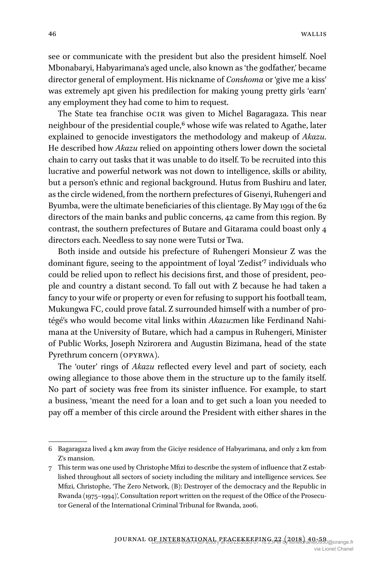see or communicate with the president but also the president himself. Noel Mbonabaryi, Habyarimana's aged uncle, also known as 'the godfather,' became director general of employment. His nickname of *Conshoma* or 'give me a kiss' was extremely apt given his predilection for making young pretty girls 'earn' any employment they had come to him to request.

The State tea franchise OCIR was given to Michel Bagaragaza. This near neighbour of the presidential couple,[6](#page-6-0) whose wife was related to Agathe, later explained to genocide investigators the methodology and makeup of *Akazu*. He described how *Akazu* relied on appointing others lower down the societal chain to carry out tasks that it was unable to do itself. To be recruited into this lucrative and powerful network was not down to intelligence, skills or ability, but a person's ethnic and regional background. Hutus from Bushiru and later, as the circle widened, from the northern prefectures of Gisenyi, Ruhengeri and Byumba, were the ultimate beneficiaries of this clientage. By May 1991 of the 62 directors of the main banks and public concerns, 42 came from this region. By contrast, the southern prefectures of Butare and Gitarama could boast only 4 directors each. Needless to say none were Tutsi or Twa.

Both inside and outside his prefecture of Ruhengeri Monsieur Z was the dominant figure, seeing to the appointment of loyal 'Zedist'[7](#page-6-1) individuals who could be relied upon to reflect his decisions first, and those of president, people and country a distant second. To fall out with Z because he had taken a fancy to your wife or property or even for refusing to support his football team, Mukungwa FC, could prove fatal. Z surrounded himself with a number of protégé's who would become vital links within *Akazu*:men like Ferdinand Nahimana at the University of Butare, which had a campus in Ruhengeri, Minister of Public Works, Joseph Nzirorera and Augustin Bizimana, head of the state Pyrethrum concern (opyrwa).

The 'outer' rings of *Akazu* reflected every level and part of society, each owing allegiance to those above them in the structure up to the family itself. No part of society was free from its sinister influence. For example, to start a business, 'meant the need for a loan and to get such a loan you needed to pay off a member of this circle around the President with either shares in the

<span id="page-6-0"></span><sup>6</sup> Bagaragaza lived 4 km away from the Giciye residence of Habyarimana, and only 2 km from Z's mansion.

<span id="page-6-1"></span><sup>7</sup> This term was one used by Christophe Mfizi to describe the system of influence that Z established throughout all sectors of society including the military and intelligence services. See Mfizi, Christophe, 'The Zero Network, (B): Destroyer of the democracy and the Republic in Rwanda (1975–1994)', Consultation report written on the request of the Office of the Prosecutor General of the International Criminal Tribunal for Rwanda, 2006.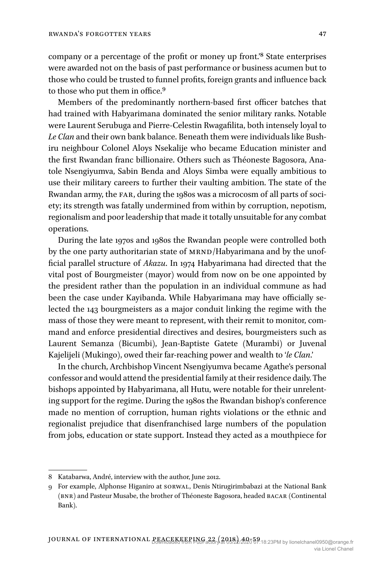company or a percentage of the profit or money up front.['8](#page-7-0) State enterprises were awarded not on the basis of past performance or business acumen but to those who could be trusted to funnel profits, foreign grants and influence back to those who put them in office.<sup>9</sup>

Members of the predominantly northern-based first officer batches that had trained with Habyarimana dominated the senior military ranks. Notable were Laurent Serubuga and Pierre-Celestin Rwagafilita, both intensely loyal to *Le Clan* and their own bank balance. Beneath them were individuals like Bushiru neighbour Colonel Aloys Nsekalije who became Education minister and the first Rwandan franc billionaire. Others such as Théoneste Bagosora, Anatole Nsengiyumva, Sabin Benda and Aloys Simba were equally ambitious to use their military careers to further their vaulting ambition. The state of the Rwandan army, the far, during the 1980s was a microcosm of all parts of society; its strength was fatally undermined from within by corruption, nepotism, regionalism and poor leadership that made it totally unsuitable for any combat operations.

During the late 1970s and 1980s the Rwandan people were controlled both by the one party authoritarian state of MRND/Habyarimana and by the unofficial parallel structure of *Akazu*. In 1974 Habyarimana had directed that the vital post of Bourgmeister (mayor) would from now on be one appointed by the president rather than the population in an individual commune as had been the case under Kayibanda. While Habyarimana may have officially selected the 143 bourgmeisters as a major conduit linking the regime with the mass of those they were meant to represent, with their remit to monitor, command and enforce presidential directives and desires, bourgmeisters such as Laurent Semanza (Bicumbi), Jean-Baptiste Gatete (Murambi) or Juvenal Kajelijeli (Mukingo), owed their far-reaching power and wealth to '*le Clan*.'

In the church, Archbishop Vincent Nsengiyumva became Agathe's personal confessor and would attend the presidential family at their residence daily. The bishops appointed by Habyarimana, all Hutu, were notable for their unrelenting support for the regime. During the 1980s the Rwandan bishop's conference made no mention of corruption, human rights violations or the ethnic and regionalist prejudice that disenfranchised large numbers of the population from jobs, education or state support. Instead they acted as a mouthpiece for

<span id="page-7-0"></span><sup>8</sup> Katabarwa, André, interview with the author, June 2012.

<span id="page-7-1"></span><sup>9</sup> For example, Alphonse Higaniro at sorwal, Denis Ntirugirimbabazi at the National Bank (bnr) and Pasteur Musabe, the brother of Théoneste Bagosora, headed bacar (Continental Bank).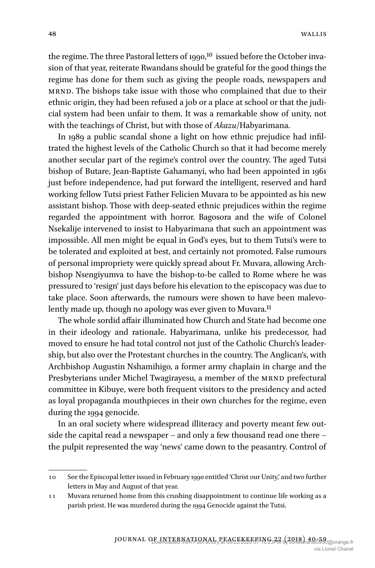the regime. The three Pastoral letters of 1990,<sup>10</sup> issued before the October invasion of that year, reiterate Rwandans should be grateful for the good things the regime has done for them such as giving the people roads, newspapers and mrnd. The bishops take issue with those who complained that due to their ethnic origin, they had been refused a job or a place at school or that the judicial system had been unfair to them. It was a remarkable show of unity, not with the teachings of Christ, but with those of *Akazu*/Habyarimana.

In 1989 a public scandal shone a light on how ethnic prejudice had infiltrated the highest levels of the Catholic Church so that it had become merely another secular part of the regime's control over the country. The aged Tutsi bishop of Butare, Jean-Baptiste Gahamanyi, who had been appointed in 1961 just before independence, had put forward the intelligent, reserved and hard working fellow Tutsi priest Father Felicien Muvara to be appointed as his new assistant bishop. Those with deep-seated ethnic prejudices within the regime regarded the appointment with horror. Bagosora and the wife of Colonel Nsekalije intervened to insist to Habyarimana that such an appointment was impossible. All men might be equal in God's eyes, but to them Tutsi's were to be tolerated and exploited at best, and certainly not promoted. False rumours of personal impropriety were quickly spread about Fr. Muvara, allowing Archbishop Nsengiyumva to have the bishop-to-be called to Rome where he was pressured to 'resign' just days before his elevation to the episcopacy was due to take place. Soon afterwards, the rumours were shown to have been malevo-lently made up, though no apology was ever given to Muvara.<sup>[11](#page-8-1)</sup>

The whole sordid affair illuminated how Church and State had become one in their ideology and rationale. Habyarimana, unlike his predecessor, had moved to ensure he had total control not just of the Catholic Church's leadership, but also over the Protestant churches in the country. The Anglican's, with Archbishop Augustin Nshamihigo, a former army chaplain in charge and the Presbyterians under Michel Twagirayesu, a member of the MRND prefectural committee in Kibuye, were both frequent visitors to the presidency and acted as loyal propaganda mouthpieces in their own churches for the regime, even during the 1994 genocide.

In an oral society where widespread illiteracy and poverty meant few outside the capital read a newspaper – and only a few thousand read one there – the pulpit represented the way 'news' came down to the peasantry. Control of

<span id="page-8-0"></span><sup>10</sup> See the Episcopal letter issued in February 1990 entitled 'Christ our Unity,' and two further letters in May and August of that year.

<span id="page-8-1"></span><sup>11</sup> Muvara returned home from this crushing disappointment to continue life working as a parish priest. He was murdered during the 1994 Genocide against the Tutsi.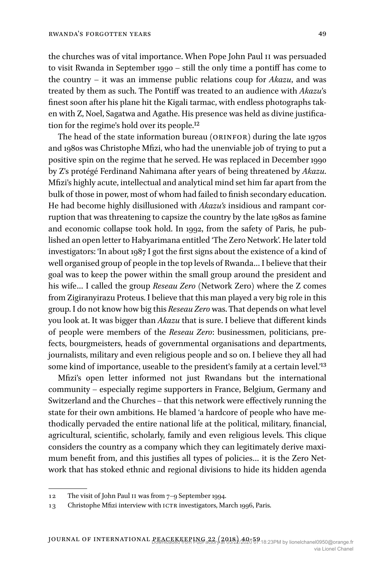the churches was of vital importance. When Pope John Paul ii was persuaded to visit Rwanda in September 1990 – still the only time a pontiff has come to the country – it was an immense public relations coup for *Akazu*, and was treated by them as such. The Pontiff was treated to an audience with *Akazu*'s finest soon after his plane hit the Kigali tarmac, with endless photographs taken with Z, Noel, Sagatwa and Agathe. His presence was held as divine justification for the regime's hold over its people.[12](#page-9-0)

The head of the state information bureau (ORINFOR) during the late 1970s and 1980s was Christophe Mfizi, who had the unenviable job of trying to put a positive spin on the regime that he served. He was replaced in December 1990 by Z's protégé Ferdinand Nahimana after years of being threatened by *Akazu*. Mfizi's highly acute, intellectual and analytical mind set him far apart from the bulk of those in power, most of whom had failed to finish secondary education. He had become highly disillusioned with *Akazu's* insidious and rampant corruption that was threatening to capsize the country by the late 1980s as famine and economic collapse took hold. In 1992, from the safety of Paris, he published an open letter to Habyarimana entitled 'The Zero Network'. He later told investigators: 'In about 1987 I got the first signs about the existence of a kind of well organised group of people in the top levels of Rwanda… I believe that their goal was to keep the power within the small group around the president and his wife… I called the group *Reseau Zero* (Network Zero) where the Z comes from Zigiranyirazu Proteus. I believe that this man played a very big role in this group. I do not know how big this *Reseau Zero* was. That depends on what level you look at. It was bigger than *Akazu* that is sure. I believe that different kinds of people were members of the *Reseau Zero*: businessmen, politicians, prefects, bourgmeisters, heads of governmental organisations and departments, journalists, military and even religious people and so on. I believe they all had some kind of importance, useable to the president's family at a certain level.['13](#page-9-1)

Mfizi's open letter informed not just Rwandans but the international community – especially regime supporters in France, Belgium, Germany and Switzerland and the Churches – that this network were effectively running the state for their own ambitions. He blamed 'a hardcore of people who have methodically pervaded the entire national life at the political, military, financial, agricultural, scientific, scholarly, family and even religious levels. This clique considers the country as a company which they can legitimately derive maximum benefit from, and this justifies all types of policies… it is the Zero Network that has stoked ethnic and regional divisions to hide its hidden agenda

<span id="page-9-0"></span><sup>12</sup> The visit of John Paul ii was from 7–9 September 1994.

<span id="page-9-1"></span><sup>13</sup> Christophe Mfizi interview with ICTR investigators, March 1996, Paris.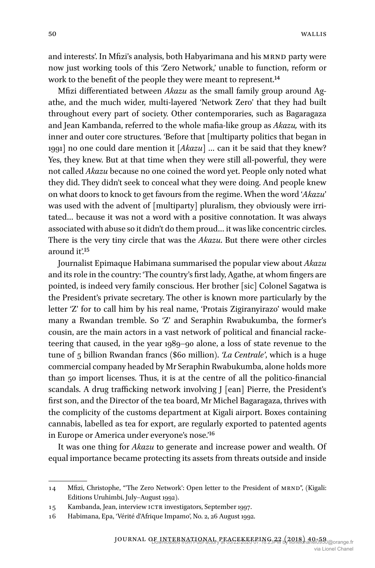and interests'. In Mfizi's analysis, both Habyarimana and his MRND party were now just working tools of this 'Zero Network,' unable to function, reform or work to the benefit of the people they were meant to represent.<sup>[14](#page-10-0)</sup>

Mfizi differentiated between *Akazu* as the small family group around Agathe, and the much wider, multi-layered 'Network Zero' that they had built throughout every part of society. Other contemporaries, such as Bagaragaza and Jean Kambanda, referred to the whole mafia-like group as *Akazu,* with its inner and outer core structures. 'Before that [multiparty politics that began in 1991] no one could dare mention it [*Akazu*] … can it be said that they knew? Yes, they knew. But at that time when they were still all-powerful, they were not called *Akazu* because no one coined the word yet. People only noted what they did. They didn't seek to conceal what they were doing. And people knew on what doors to knock to get favours from the regime. When the word '*Akazu*' was used with the advent of [multiparty] pluralism, they obviously were irritated… because it was not a word with a positive connotation. It was always associated with abuse so it didn't do them proud… it was like concentric circles. There is the very tiny circle that was the *Akazu*. But there were other circles around it'.[15](#page-10-1)

Journalist Epimaque Habimana summarised the popular view about *Akazu* and its role in the country: 'The country's first lady, Agathe, at whom fingers are pointed, is indeed very family conscious. Her brother [sic] Colonel Sagatwa is the President's private secretary. The other is known more particularly by the letter 'Z' for to call him by his real name, 'Protais Zigiranyirazo' would make many a Rwandan tremble. So 'Z' and Seraphin Rwabukumba, the former's cousin, are the main actors in a vast network of political and financial racketeering that caused, in the year 1989–90 alone, a loss of state revenue to the tune of 5 billion Rwandan francs (\$60 million). *'La Centrale'*, which is a huge commercial company headed by Mr Seraphin Rwabukumba, alone holds more than 50 import licenses. Thus, it is at the centre of all the politico-financial scandals. A drug trafficking network involving J [ean] Pierre, the President's first son, and the Director of the tea board, Mr Michel Bagaragaza, thrives with the complicity of the customs department at Kigali airport. Boxes containing cannabis, labelled as tea for export, are regularly exported to patented agents in Europe or America under everyone's nose.['16](#page-10-2)

It was one thing for *Akazu* to generate and increase power and wealth. Of equal importance became protecting its assets from threats outside and inside

<span id="page-10-0"></span><sup>14</sup> Mfizi, Christophe, "'The Zero Network': Open letter to the President of mrnd", (Kigali: Editions Uruhimbi, July–August 1992).

<span id="page-10-1"></span><sup>15</sup> Kambanda, Jean, interview ICTR investigators, September 1997.

<span id="page-10-2"></span><sup>16</sup> Habimana, Epa, 'Vérité d'Afrique Impamo', No. 2, 26 August 1992.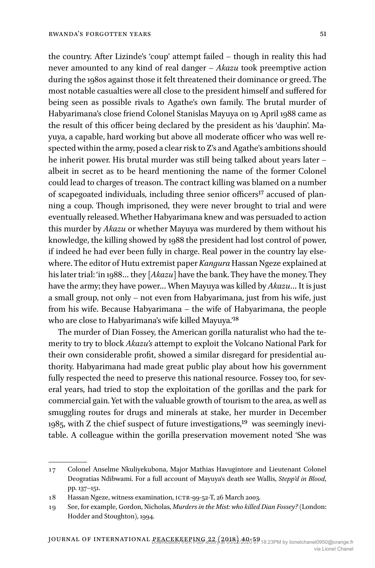the country. After Lizinde's 'coup' attempt failed – though in reality this had never amounted to any kind of real danger – *Akazu* took preemptive action during the 1980s against those it felt threatened their dominance or greed. The most notable casualties were all close to the president himself and suffered for being seen as possible rivals to Agathe's own family. The brutal murder of Habyarimana's close friend Colonel Stanislas Mayuya on 19 April 1988 came as the result of this officer being declared by the president as his 'dauphin'. Mayuya, a capable, hard working but above all moderate officer who was well respected within the army, posed a clear risk to Z's and Agathe's ambitions should he inherit power. His brutal murder was still being talked about years later – albeit in secret as to be heard mentioning the name of the former Colonel could lead to charges of treason. The contract killing was blamed on a number of scapegoated individuals, including three senior officers<sup>17</sup> accused of planning a coup. Though imprisoned, they were never brought to trial and were eventually released. Whether Habyarimana knew and was persuaded to action this murder by *Akazu* or whether Mayuya was murdered by them without his knowledge, the killing showed by 1988 the president had lost control of power, if indeed he had ever been fully in charge. Real power in the country lay elsewhere. The editor of Hutu extremist paper *Kangura* Hassan Ngeze explained at his later trial: 'in 1988… they [*Akazu*] have the bank. They have the money. They have the army; they have power… When Mayuya was killed by *Akazu*… It is just a small group, not only – not even from Habyarimana, just from his wife, just from his wife. Because Habyarimana – the wife of Habyarimana, the people who are close to Habyarimana's wife killed Mayuya.['18](#page-11-1)

The murder of Dian Fossey, the American gorilla naturalist who had the temerity to try to block *Akazu's* attempt to exploit the Volcano National Park for their own considerable profit, showed a similar disregard for presidential authority. Habyarimana had made great public play about how his government fully respected the need to preserve this national resource. Fossey too, for several years, had tried to stop the exploitation of the gorillas and the park for commercial gain. Yet with the valuable growth of tourism to the area, as well as smuggling routes for drugs and minerals at stake, her murder in December 1985, with Z the chief suspect of future investigations,<sup>19</sup> was seemingly inevitable. A colleague within the gorilla preservation movement noted 'She was

<span id="page-11-0"></span><sup>17</sup> Colonel Anselme Nkuliyekubona, Major Mathias Havugintore and Lieutenant Colonel Deogratias Ndibwami. For a full account of Mayuya's death see Wallis, *Stepp'd in Blood*, pp. 137–151.

<span id="page-11-1"></span><sup>18</sup> Hassan Ngeze, witness examination, ICTR-99-52-T, 26 March 2003.

<span id="page-11-2"></span><sup>19</sup> See, for example, Gordon, Nicholas, *Murders in the Mist: who killed Dian Fossey?* (London: Hodder and Stoughton), 1994.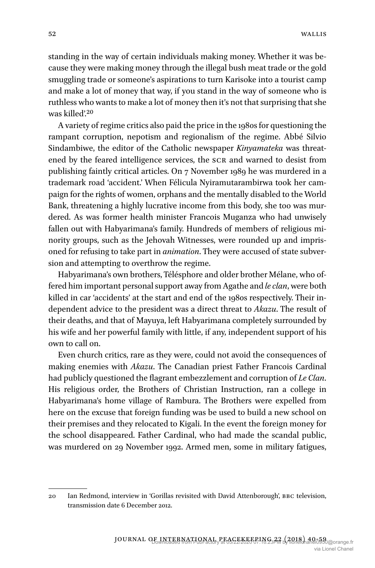standing in the way of certain individuals making money. Whether it was because they were making money through the illegal bush meat trade or the gold smuggling trade or someone's aspirations to turn Karisoke into a tourist camp and make a lot of money that way, if you stand in the way of someone who is ruthless who wants to make a lot of money then it's not that surprising that she was killed'[.20](#page-12-0)

A variety of regime critics also paid the price in the 1980s for questioning the rampant corruption, nepotism and regionalism of the regime. Abbé Silvio Sindambiwe, the editor of the Catholic newspaper *Kinyamateka* was threatened by the feared intelligence services, the scr and warned to desist from publishing faintly critical articles. On 7 November 1989 he was murdered in a trademark road 'accident.' When Félicula Nyiramutarambirwa took her campaign for the rights of women, orphans and the mentally disabled to the World Bank, threatening a highly lucrative income from this body, she too was murdered. As was former health minister Francois Muganza who had unwisely fallen out with Habyarimana's family. Hundreds of members of religious minority groups, such as the Jehovah Witnesses, were rounded up and imprisoned for refusing to take part in *animation*. They were accused of state subversion and attempting to overthrow the regime.

Habyarimana's own brothers, Télésphore and older brother Mélane, who offered him important personal support away from Agathe and *le clan*, were both killed in car 'accidents' at the start and end of the 1980s respectively. Their independent advice to the president was a direct threat to *Akazu*. The result of their deaths, and that of Mayuya, left Habyarimana completely surrounded by his wife and her powerful family with little, if any, independent support of his own to call on.

Even church critics, rare as they were, could not avoid the consequences of making enemies with *Akazu*. The Canadian priest Father Francois Cardinal had publicly questioned the flagrant embezzlement and corruption of *Le Clan*. His religious order, the Brothers of Christian Instruction, ran a college in Habyarimana's home village of Rambura. The Brothers were expelled from here on the excuse that foreign funding was be used to build a new school on their premises and they relocated to Kigali. In the event the foreign money for the school disappeared. Father Cardinal, who had made the scandal public, was murdered on 29 November 1992. Armed men, some in military fatigues,

<span id="page-12-0"></span><sup>20</sup> Ian Redmond, interview in 'Gorillas revisited with David Attenborough', BBC television, transmission date 6 December 2012.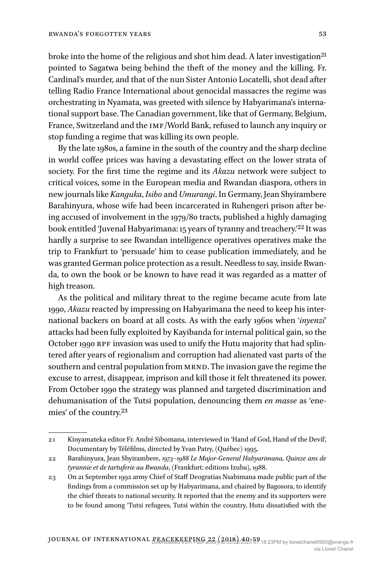broke into the home of the religious and shot him dead. A later investigation<sup>21</sup> pointed to Sagatwa being behind the theft of the money and the killing. Fr. Cardinal's murder, and that of the nun Sister Antonio Locatelli, shot dead after telling Radio France International about genocidal massacres the regime was orchestrating in Nyamata, was greeted with silence by Habyarimana's international support base. The Canadian government, like that of Germany, Belgium, France, Switzerland and the IMF/World Bank, refused to launch any inquiry or stop funding a regime that was killing its own people.

By the late 1980s, a famine in the south of the country and the sharp decline in world coffee prices was having a devastating effect on the lower strata of society. For the first time the regime and its *Akazu* network were subject to critical voices, some in the European media and Rwandan diaspora, others in new journals like *Kanguka*, *Isibo* and *Umurangi*. In Germany, Jean Shyirambere Barahinyura, whose wife had been incarcerated in Ruhengeri prison after being accused of involvement in the 1979/80 tracts, published a highly damaging book entitled 'Juvenal Habyarimana: 15 years of tyranny and treachery.'[22](#page-13-1) It was hardly a surprise to see Rwandan intelligence operatives operatives make the trip to Frankfurt to 'persuade' him to cease publication immediately, and he was granted German police protection as a result. Needlessto say, inside Rwanda, to own the book or be known to have read it was regarded as a matter of high treason.

As the political and military threat to the regime became acute from late 1990, *Akazu* reacted by impressing on Habyarimana the need to keep his international backers on board at all costs. As with the early 1960s when '*inyenzi*' attacks had been fully exploited by Kayibanda for internal political gain, so the October 1990 RPF invasion was used to unify the Hutu majority that had splintered after years of regionalism and corruption had alienated vast parts of the southern and central population from MRND. The invasion gave the regime the excuse to arrest, disappear, imprison and kill those it felt threatened its power. From October 1990 the strategy was planned and targeted discrimination and dehumanisation of the Tutsi population, denouncing them *en masse* as 'enemies' of the country.[23](#page-13-2)

<span id="page-13-0"></span><sup>21</sup> Kinyamateka editor Fr. André Sibomana, interviewed in 'Hand of God, Hand of the Devil', Documentary by Téléfilms, directed by Yvan Patry, (Québec) 1995.

<span id="page-13-1"></span><sup>22</sup> Barahinyura, Jean Shyirambere, *1973–1988 Le Major-General Habyarimana, Quinze ans de tyrannie et de tartuferie au Rwanda*, (Frankfurt: editions Izuba), 1988.

<span id="page-13-2"></span><sup>23</sup> On 21 September 1992 army Chief of Staff Deogratias Nsabimana made public part of the findings from a commission set up by Habyarimana, and chaired by Bagosora, to identify the chief threats to national security. It reported that the enemy and its supporters were to be found among 'Tutsi refugees, Tutsi within the country, Hutu dissatisfied with the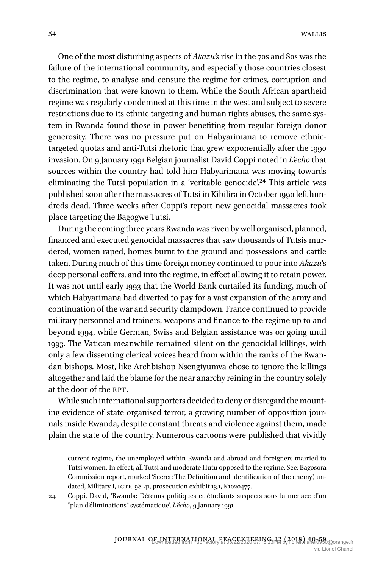One of the most disturbing aspects of *Akazu's* rise in the 70s and 80s was the failure of the international community, and especially those countries closest to the regime, to analyse and censure the regime for crimes, corruption and discrimination that were known to them. While the South African apartheid regime was regularly condemned at this time in the west and subject to severe restrictions due to its ethnic targeting and human rights abuses, the same system in Rwanda found those in power benefiting from regular foreign donor generosity. There was no pressure put on Habyarimana to remove ethnictargeted quotas and anti-Tutsi rhetoric that grew exponentially after the 1990 invasion. On 9 January 1991 Belgian journalist David Coppi noted in *L'echo* that sources within the country had told him Habyarimana was moving towards eliminating the Tutsi population in a 'veritable genocide'.<sup>24</sup> This article was published soon after the massacres of Tutsi in Kibilira in October 1990 left hundreds dead. Three weeks after Coppi's report new genocidal massacres took place targeting the Bagogwe Tutsi.

During the coming three years Rwanda was riven by well organised, planned, financed and executed genocidal massacres that saw thousands of Tutsis murdered, women raped, homes burnt to the ground and possessions and cattle taken. During much of this time foreign money continued to pour into *Akazu*'s deep personal coffers, and into the regime, in effect allowing it to retain power. It was not until early 1993 that the World Bank curtailed its funding, much of which Habyarimana had diverted to pay for a vast expansion of the army and continuation of the war and security clampdown. France continued to provide military personnel and trainers, weapons and finance to the regime up to and beyond 1994, while German, Swiss and Belgian assistance was on going until 1993. The Vatican meanwhile remained silent on the genocidal killings, with only a few dissenting clerical voices heard from within the ranks of the Rwandan bishops. Most, like Archbishop Nsengiyumva chose to ignore the killings altogether and laid the blame for the near anarchy reining in the country solely at the door of the RPF.

While such international supporters decided to deny or disregard the mounting evidence of state organised terror, a growing number of opposition journals inside Rwanda, despite constant threats and violence against them, made plain the state of the country. Numerous cartoons were published that vividly

current regime, the unemployed within Rwanda and abroad and foreigners married to Tutsi women'. In effect, all Tutsi and moderate Hutu opposed to the regime. See: Bagosora Commission report, marked 'Secret: The Definition and identification of the enemy', undated, Military I, ICTR-98-41, prosecution exhibit 13.1, K1020477.

<span id="page-14-0"></span><sup>24</sup> Coppi, David, 'Rwanda: Détenus politiques et étudiants suspects sous la menace d'un "plan d'éliminations" systématique', *L'écho*, 9 January 1991.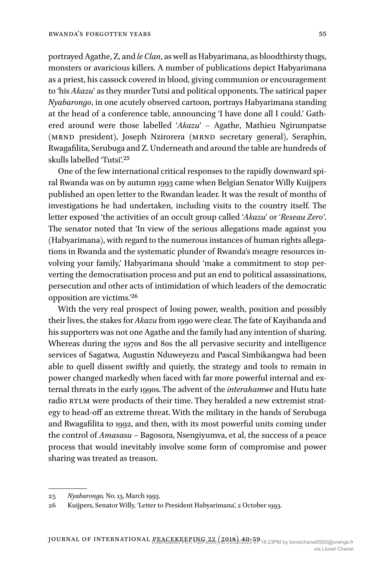portrayed Agathe, Z, and *le Clan*, as well as Habyarimana, as bloodthirsty thugs, monsters or avaricious killers. A number of publications depict Habyarimana as a priest, his cassock covered in blood, giving communion or encouragement to 'his *Akazu*' as they murder Tutsi and political opponents. The satirical paper *Nyabarongo*, in one acutely observed cartoon, portrays Habyarimana standing at the head of a conference table, announcing 'I have done all I could.' Gathered around were those labelled '*Akazu*' – Agathe, Mathieu Ngirumpatse (MRND president), Joseph Nzirorera (MRND secretary general), Seraphin, Rwagafilita, Serubuga and Z. Underneath and around the table are hundreds of skulls labelled 'Tutsi'.[25](#page-15-0)

One of the few international critical responses to the rapidly downward spiral Rwanda was on by autumn 1993 came when Belgian Senator Willy Kuijpers published an open letter to the Rwandan leader. It was the result of months of investigations he had undertaken, including visits to the country itself. The letter exposed 'the activities of an occult group called '*Akazu*' or '*Reseau Zero'*. The senator noted that 'In view of the serious allegations made against you (Habyarimana), with regard to the numerous instances of human rights allegations in Rwanda and the systematic plunder of Rwanda's meagre resources involving your family,' Habyarimana should 'make a commitment to stop perverting the democratisation process and put an end to political assassinations, persecution and other acts of intimidation of which leaders of the democratic opposition are victims.'[26](#page-15-1)

With the very real prospect of losing power, wealth, position and possibly their lives, the stakes for *Akazu* from 1990 were clear. The fate of Kayibanda and his supporters was not one Agathe and the family had any intention of sharing. Whereas during the 1970s and 80s the all pervasive security and intelligence services of Sagatwa, Augustin Nduweyezu and Pascal Simbikangwa had been able to quell dissent swiftly and quietly, the strategy and tools to remain in power changed markedly when faced with far more powerful internal and external threats in the early 1990s. The advent of the *interahamwe* and Hutu hate radio RTLM were products of their time. They heralded a new extremist strategy to head-off an extreme threat. With the military in the hands of Serubuga and Rwagafilita to 1992, and then, with its most powerful units coming under the control of *Amasasu* – Bagosora, Nsengiyumva, et al, the success of a peace process that would inevitably involve some form of compromise and power sharing was treated as treason.

<span id="page-15-0"></span><sup>25</sup> *Nyabarongo,* No. 13, March 1993.

<span id="page-15-1"></span><sup>26</sup> Kuijpers, Senator Willy, 'Letter to President Habyarimana', 2 October 1993.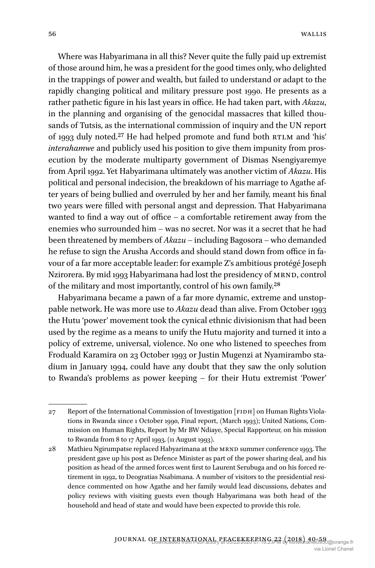Where was Habyarimana in all this? Never quite the fully paid up extremist of those around him, he was a president for the good times only, who delighted in the trappings of power and wealth, but failed to understand or adapt to the rapidly changing political and military pressure post 1990. He presents as a rather pathetic figure in his last years in office. He had taken part, with *Akazu*, in the planning and organising of the genocidal massacres that killed thousands of Tutsis, as the international commission of inquiry and the UN report of 1993 duly noted.<sup>[27](#page-16-0)</sup> He had helped promote and fund both  $RTLM$  and 'his' *interahamwe* and publicly used his position to give them impunity from prosecution by the moderate multiparty government of Dismas Nsengiyaremye from April 1992. Yet Habyarimana ultimately was another victim of *Akazu*. His political and personal indecision, the breakdown of his marriage to Agathe after years of being bullied and overruled by her and her family, meant his final two years were filled with personal angst and depression. That Habyarimana wanted to find a way out of office – a comfortable retirement away from the enemies who surrounded him – was no secret. Nor was it a secret that he had been threatened by members of *Akazu* – including Bagosora – who demanded he refuse to sign the Arusha Accords and should stand down from office in favour of a far more acceptable leader: for example Z's ambitious protégé Joseph Nzirorera. By mid 1993 Habyarimana had lost the presidency of MRND, control of the military and most importantly, control of his own family.[28](#page-16-1)

Habyarimana became a pawn of a far more dynamic, extreme and unstoppable network. He was more use to *Akazu* dead than alive. From October 1993 the Hutu 'power' movement took the cynical ethnic divisionism that had been used by the regime as a means to unify the Hutu majority and turned it into a policy of extreme, universal, violence. No one who listened to speeches from Froduald Karamira on 23 October 1993 or Justin Mugenzi at Nyamirambo stadium in January 1994, could have any doubt that they saw the only solution to Rwanda's problems as power keeping – for their Hutu extremist 'Power'

<span id="page-16-0"></span><sup>27</sup> Report of the International Commission of Investigation [fidh] on Human Rights Violations in Rwanda since 1 October 1990, Final report, (March 1993); United Nations, Commission on Human Rights, Report by Mr BW Ndiaye, Special Rapporteur, on his mission to Rwanda from 8 to 17 April 1993, (11 August 1993).

<span id="page-16-1"></span><sup>28</sup> Mathieu Ngirumpatse replaced Habyarimana at the MRND summer conference 1993. The president gave up his post as Defence Minister as part of the power sharing deal, and his position as head of the armed forces went first to Laurent Serubuga and on his forced retirement in 1992, to Deogratias Nsabimana. A number of visitors to the presidential residence commented on how Agathe and her family would lead discussions, debates and policy reviews with visiting guests even though Habyarimana was both head of the household and head of state and would have been expected to provide this role.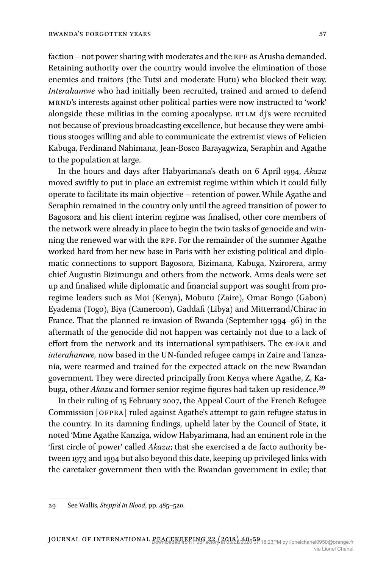faction – not power sharing with moderates and the RPF as Arusha demanded. Retaining authority over the country would involve the elimination of those enemies and traitors (the Tutsi and moderate Hutu) who blocked their way. *Interahamwe* who had initially been recruited, trained and armed to defend mrnd's interests against other political parties were now instructed to 'work' alongside these militias in the coming apocalypse. RTLM dj's were recruited not because of previous broadcasting excellence, but because they were ambitious stooges willing and able to communicate the extremist views of Felicien Kabuga, Ferdinand Nahimana, Jean-Bosco Barayagwiza, Seraphin and Agathe to the population at large.

In the hours and days after Habyarimana's death on 6 April 1994, *Akazu* moved swiftly to put in place an extremist regime within which it could fully operate to facilitate its main objective – retention of power. While Agathe and Seraphin remained in the country only until the agreed transition of power to Bagosora and his client interim regime was finalised, other core members of the network were already in place to begin the twin tasks of genocide and winning the renewed war with the RPF. For the remainder of the summer Agathe worked hard from her new base in Paris with her existing political and diplomatic connections to support Bagosora, Bizimana, Kabuga, Nzirorera, army chief Augustin Bizimungu and others from the network. Arms deals were set up and finalised while diplomatic and financial support was sought from proregime leaders such as Moi (Kenya), Mobutu (Zaire), Omar Bongo (Gabon) Eyadema (Togo), Biya (Cameroon), Gaddafi (Libya) and Mitterrand/Chirac in France. That the planned re-invasion of Rwanda (September 1994–96) in the aftermath of the genocide did not happen was certainly not due to a lack of effort from the network and its international sympathisers. The ex-far and *interahamwe,* now based in the UN-funded refugee camps in Zaire and Tanzania, were rearmed and trained for the expected attack on the new Rwandan government. They were directed principally from Kenya where Agathe, Z, Kabuga, other *Akazu* and former senior regime figures had taken up residence[.29](#page-17-0)

In their ruling of 15 February 2007, the Appeal Court of the French Refugee Commission [OFPRA] ruled against Agathe's attempt to gain refugee status in the country. In its damning findings, upheld later by the Council of State, it noted 'Mme Agathe Kanziga, widow Habyarimana, had an eminent role in the 'first circle of power' called *Akazu*; that she exercised a de facto authority between 1973 and 1994 but also beyond this date, keeping up privileged links with the caretaker government then with the Rwandan government in exile; that

<span id="page-17-0"></span><sup>29</sup> See Wallis, *Stepp'd in Blood*, pp. 485–520.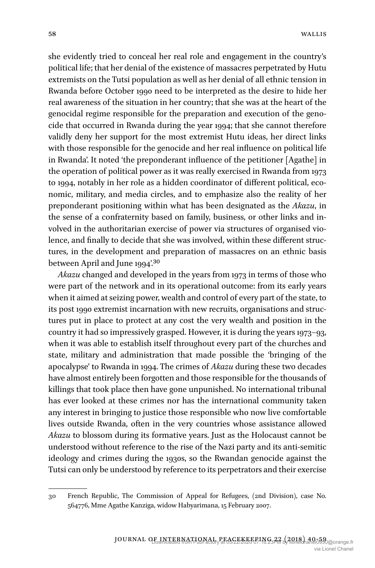she evidently tried to conceal her real role and engagement in the country's political life; that her denial of the existence of massacres perpetrated by Hutu extremists on the Tutsi population as well as her denial of all ethnic tension in Rwanda before October 1990 need to be interpreted as the desire to hide her real awareness of the situation in her country; that she was at the heart of the genocidal regime responsible for the preparation and execution of the genocide that occurred in Rwanda during the year 1994; that she cannot therefore validly deny her support for the most extremist Hutu ideas, her direct links with those responsible for the genocide and her real influence on political life in Rwanda'. It noted 'the preponderant influence of the petitioner [Agathe] in the operation of political power as it was really exercised in Rwanda from 1973 to 1994, notably in her role as a hidden coordinator of different political, economic, military, and media circles, and to emphasize also the reality of her preponderant positioning within what has been designated as the *Akazu*, in the sense of a confraternity based on family, business, or other links and involved in the authoritarian exercise of power via structures of organised violence, and finally to decide that she was involved, within these different structures, in the development and preparation of massacres on an ethnic basis between April and June 1994'.[30](#page-18-0)

*Akazu* changed and developed in the years from 1973 in terms of those who were part of the network and in its operational outcome: from its early years when it aimed at seizing power, wealth and control of every part of the state, to its post 1990 extremist incarnation with new recruits, organisations and structures put in place to protect at any cost the very wealth and position in the country it had so impressively grasped. However, it is during the years 1973–93, when it was able to establish itself throughout every part of the churches and state, military and administration that made possible the 'bringing of the apocalypse' to Rwanda in 1994. The crimes of *Akazu* during these two decades have almost entirely been forgotten and those responsible for the thousands of killings that took place then have gone unpunished. No international tribunal has ever looked at these crimes nor has the international community taken any interest in bringing to justice those responsible who now live comfortable lives outside Rwanda, often in the very countries whose assistance allowed *Akazu* to blossom during its formative years. Just as the Holocaust cannot be understood without reference to the rise of the Nazi party and its anti-semitic ideology and crimes during the 1930s, so the Rwandan genocide against the Tutsi can only be understood by reference to its perpetrators and their exercise

<span id="page-18-0"></span><sup>30</sup> French Republic, The Commission of Appeal for Refugees, (2nd Division), case No. 564776, Mme Agathe Kanziga, widow Habyarimana, 15 February 2007.